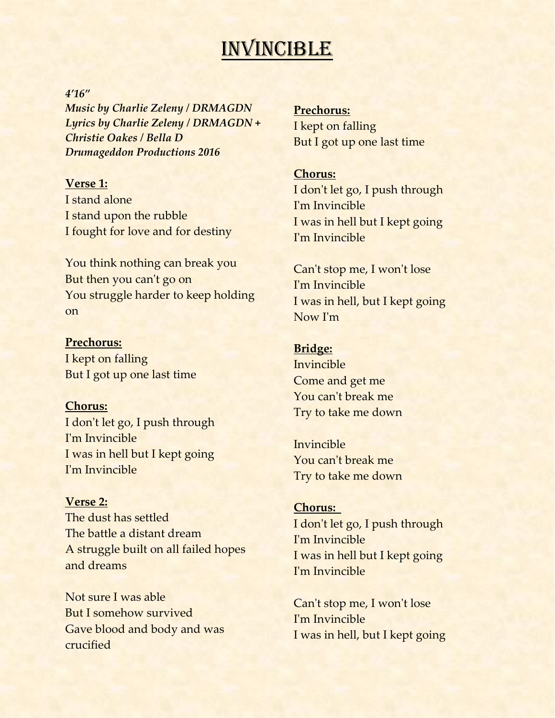## **INVINCIBLE**

#### *4'16"*

*Music by Charlie Zeleny / DRMAGDN Lyrics by Charlie Zeleny / DRMAGDN + Christie Oakes / Bella D Drumageddon Productions 2016*

#### **Verse 1:**

I stand alone I stand upon the rubble I fought for love and for destiny

You think nothing can break you But then you can't go on You struggle harder to keep holding on

#### **Prechorus:**

I kept on falling But I got up one last time

#### **Chorus:**

I don't let go, I push through I'm Invincible I was in hell but I kept going I'm Invincible

#### **Verse 2:**

The dust has settled The battle a distant dream A struggle built on all failed hopes and dreams

Not sure I was able But I somehow survived Gave blood and body and was crucified

**Prechorus:** I kept on falling But I got up one last time

#### **Chorus:**

I don't let go, I push through I'm Invincible I was in hell but I kept going I'm Invincible

Can't stop me, I won't lose I'm Invincible I was in hell, but I kept going Now I'm

#### **Bridge:**

Invincible Come and get me You can't break me Try to take me down

Invincible You can't break me Try to take me down

#### **Chorus:**

I don't let go, I push through I'm Invincible I was in hell but I kept going I'm Invincible

Can't stop me, I won't lose I'm Invincible I was in hell, but I kept going